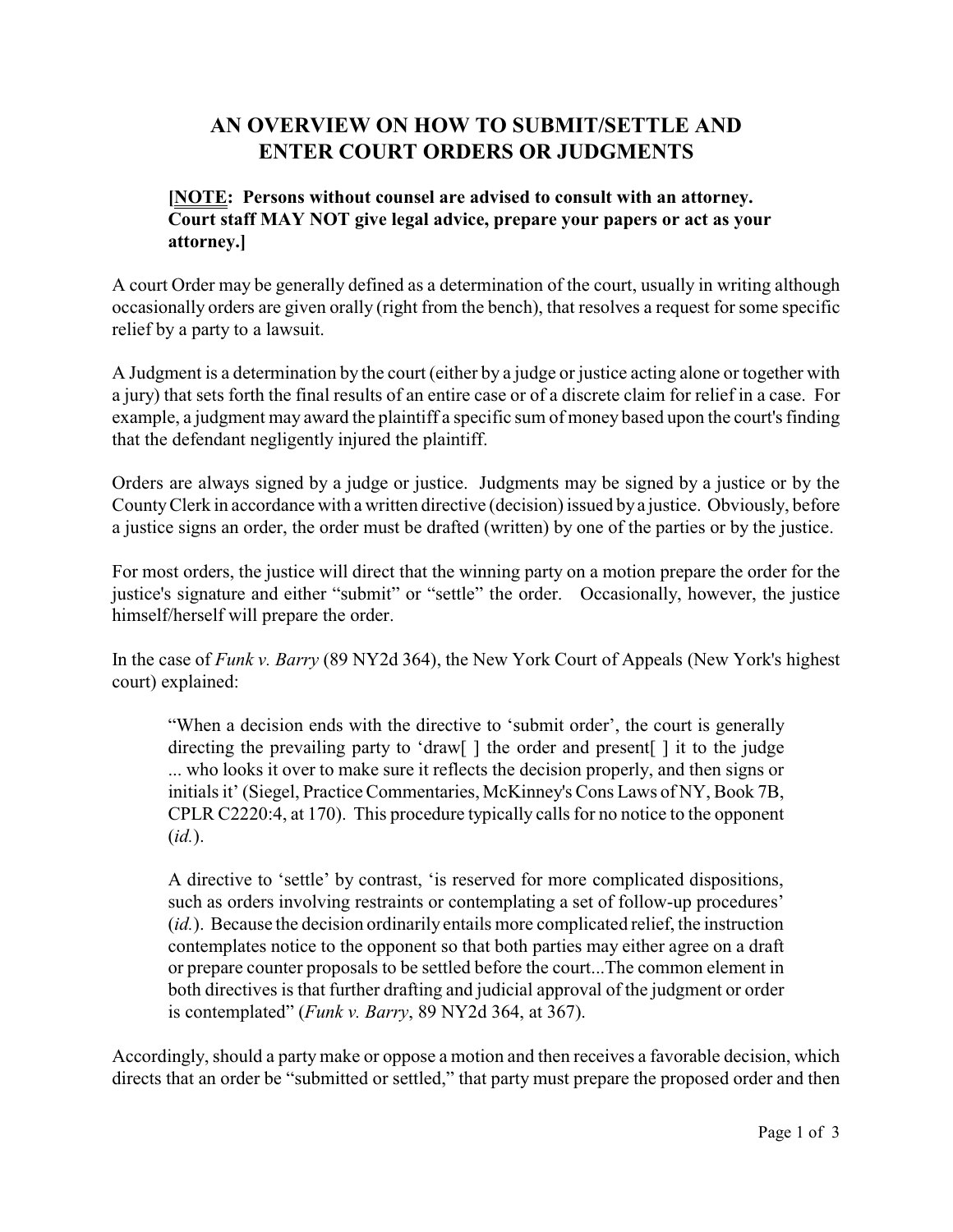## **AN OVERVIEW ON HOW TO SUBMIT/SETTLE AND ENTER COURT ORDERS OR JUDGMENTS**

## **[NOTE: Persons without counsel are advised to consult with an attorney. Court staff MAY NOT give legal advice, prepare your papers or act as your attorney.]**

A court Order may be generally defined as a determination of the court, usually in writing although occasionally orders are given orally (right from the bench), that resolves a request for some specific relief by a party to a lawsuit.

A Judgment is a determination by the court (either by a judge or justice acting alone or together with a jury) that sets forth the final results of an entire case or of a discrete claim for relief in a case. For example, a judgment may award the plaintiff a specific sum of money based upon the court's finding that the defendant negligently injured the plaintiff.

Orders are always signed by a judge or justice. Judgments may be signed by a justice or by the CountyClerk in accordance with a written directive (decision) issued bya justice. Obviously, before a justice signs an order, the order must be drafted (written) by one of the parties or by the justice.

For most orders, the justice will direct that the winning party on a motion prepare the order for the justice's signature and either "submit" or "settle" the order. Occasionally, however, the justice himself/herself will prepare the order.

In the case of *Funk v. Barry* (89 NY2d 364), the New York Court of Appeals (New York's highest court) explained:

"When a decision ends with the directive to 'submit order', the court is generally directing the prevailing party to 'draw[ ] the order and present[ ] it to the judge ... who looks it over to make sure it reflects the decision properly, and then signs or initials it' (Siegel, Practice Commentaries, McKinney's Cons Laws of NY, Book 7B, CPLR C2220:4, at 170). This procedure typically calls for no notice to the opponent (*id.*).

A directive to 'settle' by contrast, 'is reserved for more complicated dispositions, such as orders involving restraints or contemplating a set of follow-up procedures' (*id.*). Because the decision ordinarily entails more complicated relief, the instruction contemplates notice to the opponent so that both parties may either agree on a draft or prepare counter proposals to be settled before the court...The common element in both directives is that further drafting and judicial approval of the judgment or order is contemplated" (*Funk v. Barry*, 89 NY2d 364, at 367).

Accordingly, should a party make or oppose a motion and then receives a favorable decision, which directs that an order be "submitted or settled," that party must prepare the proposed order and then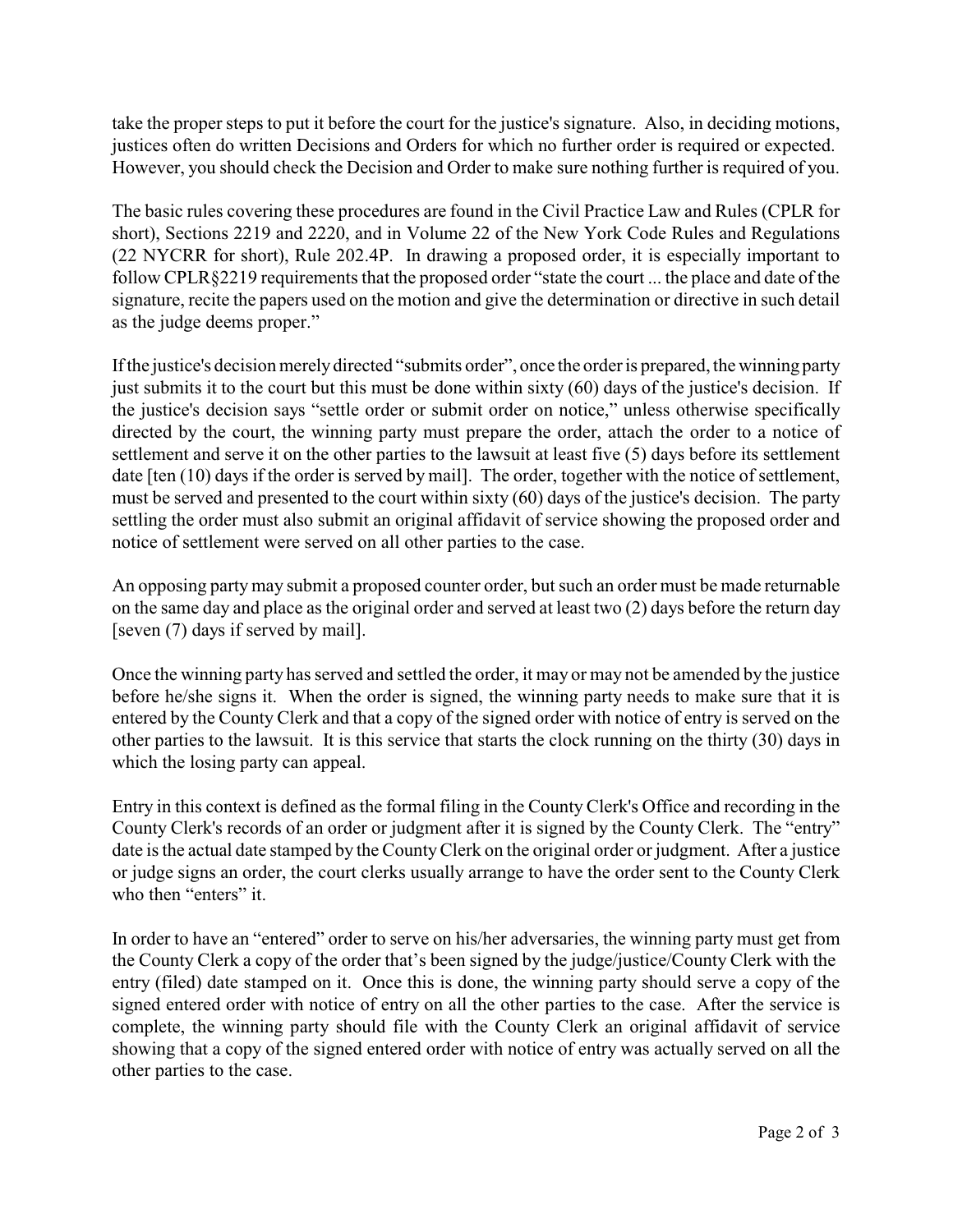take the proper steps to put it before the court for the justice's signature. Also, in deciding motions, justices often do written Decisions and Orders for which no further order is required or expected. However, you should check the Decision and Order to make sure nothing further is required of you.

The basic rules covering these procedures are found in the Civil Practice Law and Rules (CPLR for short), Sections 2219 and 2220, and in Volume 22 of the New York Code Rules and Regulations (22 NYCRR for short), Rule 202.4P. In drawing a proposed order, it is especially important to follow CPLR§2219 requirements that the proposed order "state the court ... the place and date of the signature, recite the papers used on the motion and give the determination or directive in such detail as the judge deems proper."

If the justice's decision merely directed "submits order", once the order is prepared, the winning party just submits it to the court but this must be done within sixty (60) days of the justice's decision. If the justice's decision says "settle order or submit order on notice," unless otherwise specifically directed by the court, the winning party must prepare the order, attach the order to a notice of settlement and serve it on the other parties to the lawsuit at least five (5) days before its settlement date [ten (10) days if the order is served by mail]. The order, together with the notice of settlement, must be served and presented to the court within sixty (60) days of the justice's decision. The party settling the order must also submit an original affidavit of service showing the proposed order and notice of settlement were served on all other parties to the case.

An opposing partymay submit a proposed counter order, but such an order must be made returnable on the same day and place as the original order and served at least two (2) days before the return day [seven (7) days if served by mail].

Once the winning party has served and settled the order, it may or may not be amended by the justice before he/she signs it. When the order is signed, the winning party needs to make sure that it is entered by the County Clerk and that a copy of the signed order with notice of entry is served on the other parties to the lawsuit. It is this service that starts the clock running on the thirty (30) days in which the losing party can appeal.

Entry in this context is defined as the formal filing in the County Clerk's Office and recording in the County Clerk's records of an order or judgment after it is signed by the County Clerk. The "entry" date is the actual date stamped by the CountyClerk on the original order or judgment. After a justice or judge signs an order, the court clerks usually arrange to have the order sent to the County Clerk who then "enters" it.

In order to have an "entered" order to serve on his/her adversaries, the winning party must get from the County Clerk a copy of the order that's been signed by the judge/justice/County Clerk with the entry (filed) date stamped on it. Once this is done, the winning party should serve a copy of the signed entered order with notice of entry on all the other parties to the case. After the service is complete, the winning party should file with the County Clerk an original affidavit of service showing that a copy of the signed entered order with notice of entry was actually served on all the other parties to the case.